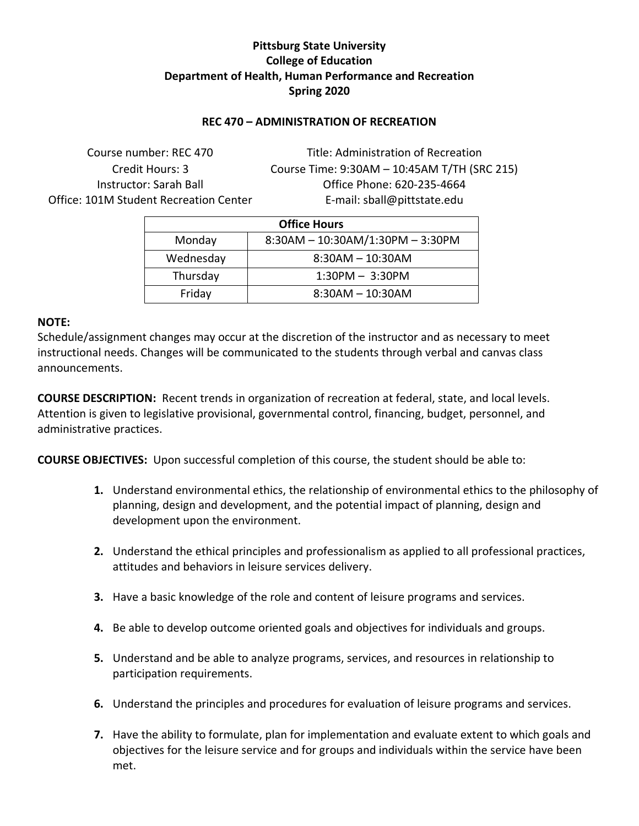# **Pittsburg State University College of Education Department of Health, Human Performance and Recreation Spring 2020**

## **REC 470 – ADMINISTRATION OF RECREATION**

Office: 101M Student Recreation Center Facebook E-mail: sball@pittstate.edu

Course number: REC 470 Title: Administration of Recreation Credit Hours: 3 Course Time: 9:30AM – 10:45AM T/TH (SRC 215) Instructor: Sarah Ball Office Phone: 620-235-4664

| <b>Office Hours</b>                        |                    |  |  |  |
|--------------------------------------------|--------------------|--|--|--|
| 8:30AM - 10:30AM/1:30PM - 3:30PM<br>Monday |                    |  |  |  |
| Wednesday                                  | $8:30AM - 10:30AM$ |  |  |  |
| Thursday                                   | $1:30PM - 3:30PM$  |  |  |  |
| Friday                                     | $8:30AM - 10:30AM$ |  |  |  |

#### **NOTE:**

Schedule/assignment changes may occur at the discretion of the instructor and as necessary to meet instructional needs. Changes will be communicated to the students through verbal and canvas class announcements.

**COURSE DESCRIPTION:** Recent trends in organization of recreation at federal, state, and local levels. Attention is given to legislative provisional, governmental control, financing, budget, personnel, and administrative practices.

**COURSE OBJECTIVES:** Upon successful completion of this course, the student should be able to:

- **1.** Understand environmental ethics, the relationship of environmental ethics to the philosophy of planning, design and development, and the potential impact of planning, design and development upon the environment.
- **2.** Understand the ethical principles and professionalism as applied to all professional practices, attitudes and behaviors in leisure services delivery.
- **3.** Have a basic knowledge of the role and content of leisure programs and services.
- **4.** Be able to develop outcome oriented goals and objectives for individuals and groups.
- **5.** Understand and be able to analyze programs, services, and resources in relationship to participation requirements.
- **6.** Understand the principles and procedures for evaluation of leisure programs and services.
- **7.** Have the ability to formulate, plan for implementation and evaluate extent to which goals and objectives for the leisure service and for groups and individuals within the service have been met.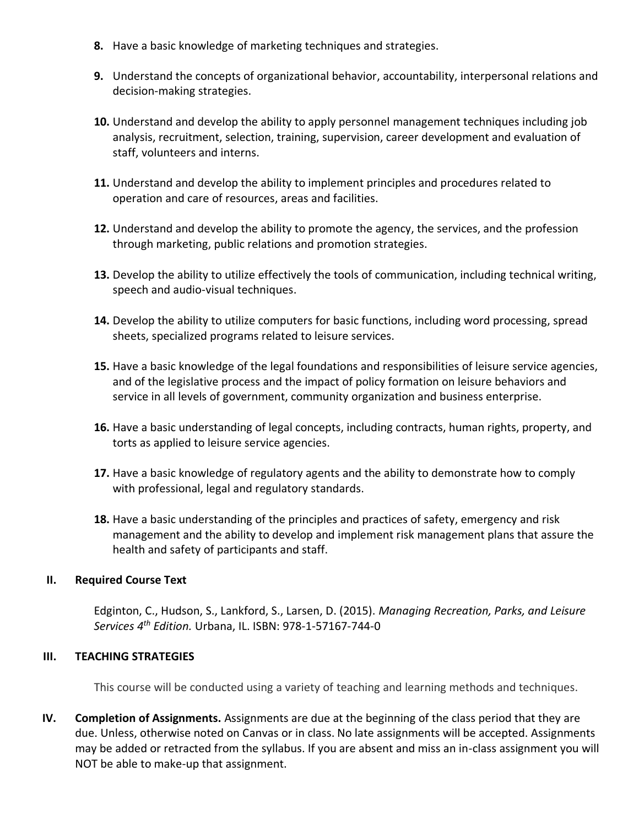- **8.** Have a basic knowledge of marketing techniques and strategies.
- **9.** Understand the concepts of organizational behavior, accountability, interpersonal relations and decision-making strategies.
- **10.** Understand and develop the ability to apply personnel management techniques including job analysis, recruitment, selection, training, supervision, career development and evaluation of staff, volunteers and interns.
- **11.** Understand and develop the ability to implement principles and procedures related to operation and care of resources, areas and facilities.
- **12.** Understand and develop the ability to promote the agency, the services, and the profession through marketing, public relations and promotion strategies.
- **13.** Develop the ability to utilize effectively the tools of communication, including technical writing, speech and audio-visual techniques.
- **14.** Develop the ability to utilize computers for basic functions, including word processing, spread sheets, specialized programs related to leisure services.
- **15.** Have a basic knowledge of the legal foundations and responsibilities of leisure service agencies, and of the legislative process and the impact of policy formation on leisure behaviors and service in all levels of government, community organization and business enterprise.
- **16.** Have a basic understanding of legal concepts, including contracts, human rights, property, and torts as applied to leisure service agencies.
- **17.** Have a basic knowledge of regulatory agents and the ability to demonstrate how to comply with professional, legal and regulatory standards.
- **18.** Have a basic understanding of the principles and practices of safety, emergency and risk management and the ability to develop and implement risk management plans that assure the health and safety of participants and staff.

### **II. Required Course Text**

Edginton, C., Hudson, S., Lankford, S., Larsen, D. (2015). *Managing Recreation, Parks, and Leisure Services 4th Edition.* Urbana, IL. ISBN: 978-1-57167-744-0

### **III. TEACHING STRATEGIES**

This course will be conducted using a variety of teaching and learning methods and techniques.

**IV. Completion of Assignments.** Assignments are due at the beginning of the class period that they are due. Unless, otherwise noted on Canvas or in class. No late assignments will be accepted. Assignments may be added or retracted from the syllabus. If you are absent and miss an in-class assignment you will NOT be able to make-up that assignment.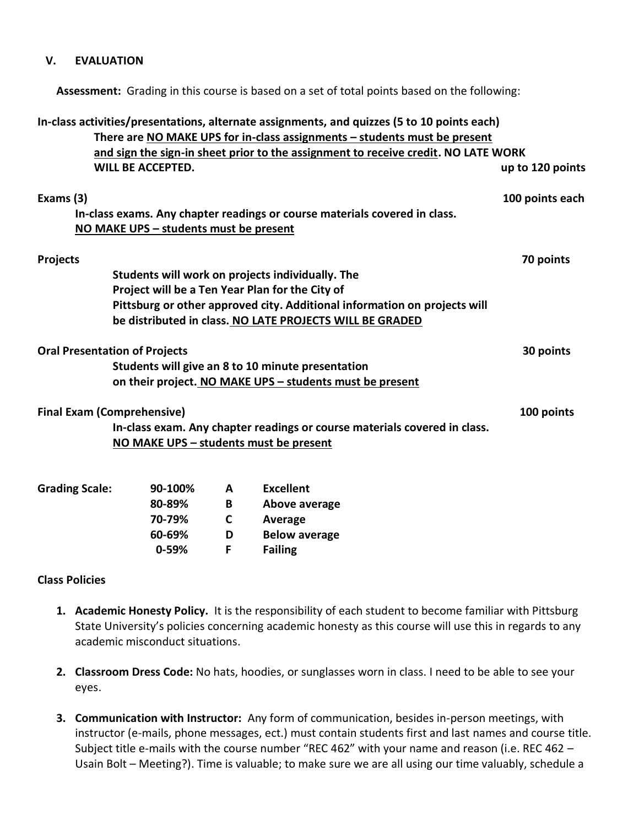### **V. EVALUATION**

**Assessment:** Grading in this course is based on a set of total points based on the following:

|                       |                                                 | In-class activities/presentations, alternate assignments, and quizzes (5 to 10 points each)<br>There are NO MAKE UPS for in-class assignments - students must be present<br>and sign the sign-in sheet prior to the assignment to receive credit. NO LATE WORK |                  |
|-----------------------|-------------------------------------------------|----------------------------------------------------------------------------------------------------------------------------------------------------------------------------------------------------------------------------------------------------------------|------------------|
|                       | <b>WILL BE ACCEPTED.</b>                        |                                                                                                                                                                                                                                                                | up to 120 points |
| Exams (3)             | NO MAKE UPS - students must be present          | In-class exams. Any chapter readings or course materials covered in class.                                                                                                                                                                                     | 100 points each  |
| <b>Projects</b>       |                                                 |                                                                                                                                                                                                                                                                | 70 points        |
|                       |                                                 | Students will work on projects individually. The                                                                                                                                                                                                               |                  |
|                       | Project will be a Ten Year Plan for the City of |                                                                                                                                                                                                                                                                |                  |
|                       |                                                 | Pittsburg or other approved city. Additional information on projects will                                                                                                                                                                                      |                  |
|                       |                                                 | be distributed in class. NO LATE PROJECTS WILL BE GRADED                                                                                                                                                                                                       |                  |
|                       | <b>Oral Presentation of Projects</b>            |                                                                                                                                                                                                                                                                | 30 points        |
|                       |                                                 | Students will give an 8 to 10 minute presentation                                                                                                                                                                                                              |                  |
|                       |                                                 | on their project. NO MAKE UPS - students must be present                                                                                                                                                                                                       |                  |
|                       | <b>Final Exam (Comprehensive)</b>               |                                                                                                                                                                                                                                                                | 100 points       |
|                       |                                                 | In-class exam. Any chapter readings or course materials covered in class.                                                                                                                                                                                      |                  |
|                       | NO MAKE UPS - students must be present          |                                                                                                                                                                                                                                                                |                  |
| <b>Grading Scale:</b> | 90-100%<br>A                                    | <b>Excellent</b>                                                                                                                                                                                                                                               |                  |

| <b>90-100%</b> | A | Excellent            |
|----------------|---|----------------------|
| 80-89%         | в | Above average        |
| 70-79%         | C | Average              |
| 60-69%         | D | <b>Below average</b> |
| $0 - 59%$      | Е | <b>Failing</b>       |
|                |   |                      |

#### **Class Policies**

- **1. Academic Honesty Policy.** It is the responsibility of each student to become familiar with Pittsburg State University's policies concerning academic honesty as this course will use this in regards to any academic misconduct situations.
- **2. Classroom Dress Code:** No hats, hoodies, or sunglasses worn in class. I need to be able to see your eyes.
- **3. Communication with Instructor:** Any form of communication, besides in-person meetings, with instructor (e-mails, phone messages, ect.) must contain students first and last names and course title. Subject title e-mails with the course number "REC 462" with your name and reason (i.e. REC 462 – Usain Bolt – Meeting?). Time is valuable; to make sure we are all using our time valuably, schedule a